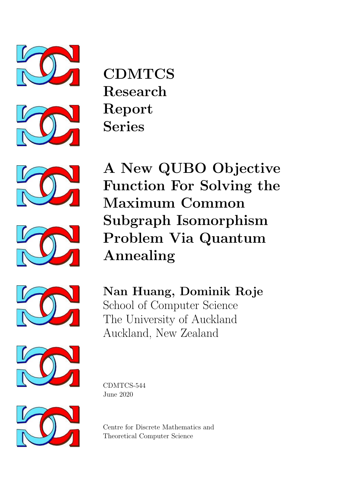









A New QUBO Objective Function For Solving the Maximum Common Subgraph Isomorphism Problem Via Quantum Annealing



Nan Huang, Dominik Roje School of Computer Science The University of Auckland Auckland, New Zealand



CDMTCS-544 June 2020



Centre for Discrete Mathematics and Theoretical Computer Science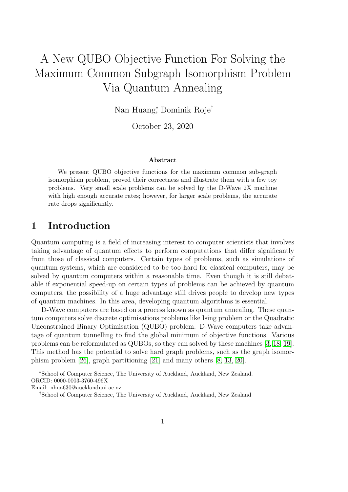# A New QUBO Objective Function For Solving the Maximum Common Subgraph Isomorphism Problem Via Quantum Annealing

Nan Huang<sup>∗</sup> , Dominik Roje†

October 23, 2020

#### Abstract

We present QUBO objective functions for the maximum common sub-graph isomorphism problem, proved their correctness and illustrate them with a few toy problems. Very small scale problems can be solved by the D-Wave 2X machine with high enough accurate rates; however, for larger scale problems, the accurate rate drops significantly.

## 1 Introduction

Quantum computing is a field of increasing interest to computer scientists that involves taking advantage of quantum effects to perform computations that differ significantly from those of classical computers. Certain types of problems, such as simulations of quantum systems, which are considered to be too hard for classical computers, may be solved by quantum computers within a reasonable time. Even though it is still debatable if exponential speed-up on certain types of problems can be achieved by quantum computers, the possibility of a huge advantage still drives people to develop new types of quantum machines. In this area, developing quantum algorithms is essential.

D-Wave computers are based on a process known as quantum annealing. These quantum computers solve discrete optimisations problems like Ising problem or the Quadratic Unconstrained Binary Optimisation (QUBO) problem. D-Wave computers take advantage of quantum tunnelling to find the global minimum of objective functions. Various problems can be reformulated as QUBOs, so they can solved by these machines [\[3,](#page-18-0) [18,](#page-19-0) [19\]](#page-19-1). This method has the potential to solve hard graph problems, such as the graph isomorphism problem [\[26\]](#page-20-0), graph partitioning [\[21\]](#page-20-1) and many others [\[8,](#page-19-2) [13,](#page-19-3) [20\]](#page-20-2).

<sup>∗</sup>School of Computer Science, The University of Auckland, Auckland, New Zealand. ORCID: 0000-0003-3760-496X

Email: nhua630@aucklanduni.ac.nz

<sup>†</sup>School of Computer Science, The University of Auckland, Auckland, New Zealand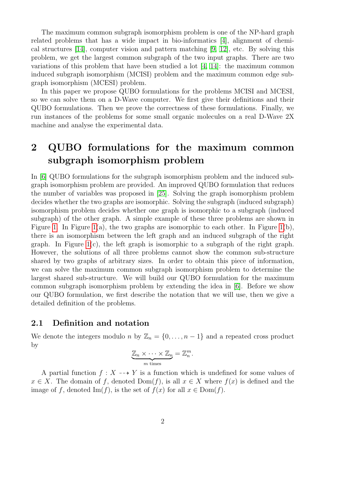The maximum common subgraph isomorphism problem is one of the NP-hard graph related problems that has a wide impact in bio-informatics [\[4\]](#page-18-1), alignment of chemical structures [\[14\]](#page-19-4), computer vision and pattern matching [\[9,](#page-19-5) [12\]](#page-19-6), etc. By solving this problem, we get the largest common subgraph of the two input graphs. There are two variations of this problem that have been studied a lot  $[4, 14]$  $[4, 14]$ : the maximum common induced subgraph isomorphism (MCISI) problem and the maximum common edge subgraph isomorphism (MCESI) problem.

In this paper we propose QUBO formulations for the problems MCISI and MCESI, so we can solve them on a D-Wave computer. We first give their definitions and their QUBO formulations. Then we prove the correctness of these formulations. Finally, we run instances of the problems for some small organic molecules on a real D-Wave 2X machine and analyse the experimental data.

## <span id="page-2-0"></span>2 QUBO formulations for the maximum common subgraph isomorphism problem

In [\[6\]](#page-19-7) QUBO formulations for the subgraph isomorphism problem and the induced subgraph isomorphism problem are provided. An improved QUBO formulation that reduces the number of variables was proposed in [\[25\]](#page-20-3). Solving the graph isomorphism problem decides whether the two graphs are isomorphic. Solving the subgraph (induced subgraph) isomorphism problem decides whether one graph is isomorphic to a subgraph (induced subgraph) of the other graph. A simple example of these three problems are shown in Figure [1.](#page-3-0) In Figure [1\(](#page-3-0)a), the two graphs are isomorphic to each other. In Figure 1(b), there is an isomorphism between the left graph and an induced subgraph of the right graph. In Figure [1\(](#page-3-0)c), the left graph is isomorphic to a subgraph of the right graph. However, the solutions of all three problems cannot show the common sub-structure shared by two graphs of arbitrary sizes. In order to obtain this piece of information, we can solve the maximum common subgraph isomorphism problem to determine the largest shared sub-structure. We will build our QUBO formulation for the maximum common subgraph isomorphism problem by extending the idea in [\[6\]](#page-19-7). Before we show our QUBO formulation, we first describe the notation that we will use, then we give a detailed definition of the problems.

#### 2.1 Definition and notation

We denote the integers modulo n by  $\mathbb{Z}_n = \{0, \ldots, n-1\}$  and a repeated cross product by

$$
\underbrace{\mathbb{Z}_n \times \cdots \times \mathbb{Z}_n}_{m \text{ times}} = \mathbb{Z}_n^m.
$$

A partial function  $f: X \dashrightarrow Y$  is a function which is undefined for some values of  $x \in X$ . The domain of f, denoted  $Dom(f)$ , is all  $x \in X$  where  $f(x)$  is defined and the image of f, denoted Im(f), is the set of  $f(x)$  for all  $x \in \text{Dom}(f)$ .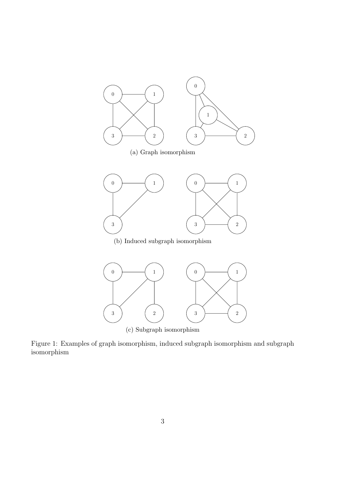<span id="page-3-0"></span>



Figure 1: Examples of graph isomorphism, induced subgraph isomorphism and subgraph isomorphism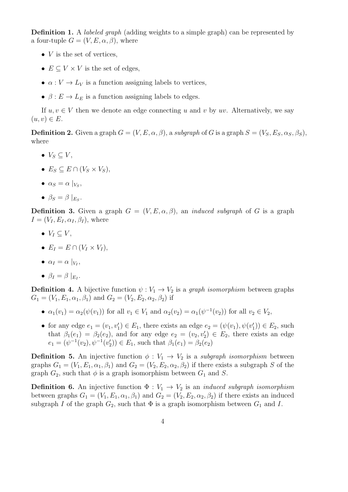**Definition 1.** A *labeled graph* (adding weights to a simple graph) can be represented by a four-tuple  $G = (V, E, \alpha, \beta)$ , where

- $V$  is the set of vertices,
- $E \subset V \times V$  is the set of edges.
- $\alpha: V \to L_V$  is a function assigning labels to vertices,
- $\beta: E \to L_E$  is a function assigning labels to edges.

If  $u, v \in V$  then we denote an edge connecting u and v by uv. Alternatively, we say  $(u, v) \in E$ .

**Definition 2.** Given a graph  $G = (V, E, \alpha, \beta)$ , a subgraph of G is a graph  $S = (V_S, E_S, \alpha_S, \beta_S)$ , where

- $V_S \subseteq V$ ,
- $E_S \subseteq E \cap (V_S \times V_S)$ ,
- $\alpha_S = \alpha \mid_{V_S},$
- $\beta_S = \beta \mid_{E_S}$ .

**Definition 3.** Given a graph  $G = (V, E, \alpha, \beta)$ , an *induced subgraph* of G is a graph  $I = (V_I, E_I, \alpha_I, \beta_I)$ , where

- $V_I \subset V$ ,
- $E_I = E \cap (V_I \times V_I)$ ,
- $\alpha_I = \alpha \mid_{V_I},$
- $\beta_I = \beta \mid_{E_I}$ .

**Definition 4.** A bijective function  $\psi: V_1 \to V_2$  is a *graph isomorphism* between graphs  $G_1 = (V_1, E_1, \alpha_1, \beta_1)$  and  $G_2 = (V_2, E_2, \alpha_2, \beta_2)$  if

- $\alpha_1(v_1) = \alpha_2(\psi(v_1))$  for all  $v_1 \in V_1$  and  $\alpha_2(v_2) = \alpha_1(\psi^{-1}(v_2))$  for all  $v_2 \in V_2$ ,
- for any edge  $e_1 = (v_1, v_1') \in E_1$ , there exists an edge  $e_2 = (\psi(v_1), \psi(v_1')) \in E_2$ , such that  $\beta_1(e_1) = \beta_2(e_2)$ , and for any edge  $e_2 = (v_2, v_2') \in E_2$ , there exists an edge  $e_1 = (\psi^{-1}(v_2), \psi^{-1}(v'_2)) \in E_1$ , such that  $\beta_1(e_1) = \beta_2(e_2)$

**Definition 5.** An injective function  $\phi: V_1 \rightarrow V_2$  is a subgraph isomorphism between graphs  $G_1 = (V_1, E_1, \alpha_1, \beta_1)$  and  $G_2 = (V_2, E_2, \alpha_2, \beta_2)$  if there exists a subgraph S of the graph  $G_2$ , such that  $\phi$  is a graph isomorphism between  $G_1$  and S.

**Definition 6.** An injective function  $\Phi: V_1 \to V_2$  is an *induced subgraph isomorphism* between graphs  $G_1 = (V_1, E_1, \alpha_1, \beta_1)$  and  $G_2 = (V_2, E_2, \alpha_2, \beta_2)$  if there exists an induced subgraph I of the graph  $G_2$ , such that  $\Phi$  is a graph isomorphism between  $G_1$  and I.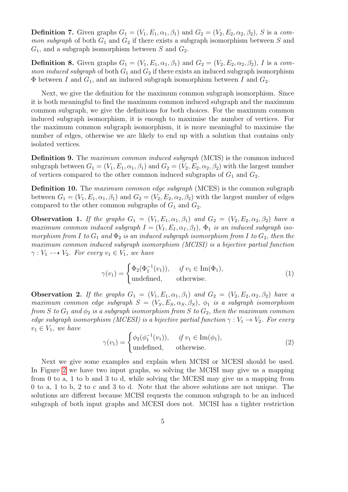**Definition 7.** Given graphs  $G_1 = (V_1, E_1, \alpha_1, \beta_1)$  and  $G_2 = (V_2, E_2, \alpha_2, \beta_2)$ , S is a com*mon subgraph* of both  $G_1$  and  $G_2$  if there exists a subgraph isomorphism between S and  $G_1$ , and a subgraph isomorphism between S and  $G_2$ .

**Definition 8.** Given graphs  $G_1 = (V_1, E_1, \alpha_1, \beta_1)$  and  $G_2 = (V_2, E_2, \alpha_2, \beta_2)$ , I is a com*mon induced subgraph* of both  $G_1$  and  $G_2$  if there exists an induced subgraph isomorphism  $\Phi$  between I and  $G_1$ , and an induced subgraph isomorphism between I and  $G_2$ .

Next, we give the definition for the maximum common subgraph isomorphism. Since it is both meaningful to find the maximum common induced subgraph and the maximum common subgraph, we give the definitions for both choices. For the maximum common induced subgraph isomorphism, it is enough to maximise the number of vertices. For the maximum common subgraph isomorphism, it is more meaningful to maximise the number of edges, otherwise we are likely to end up with a solution that contains only isolated vertices.

Definition 9. The maximum common induced subgraph (MCIS) is the common induced subgraph between  $G_1 = (V_1, E_1, \alpha_1, \beta_1)$  and  $G_2 = (V_2, E_2, \alpha_2, \beta_2)$  with the largest number of vertices compared to the other common induced subgraphs of  $G_1$  and  $G_2$ .

**Definition 10.** The *maximum common edge subgraph* (MCES) is the common subgraph between  $G_1 = (V_1, E_1, \alpha_1, \beta_1)$  and  $G_2 = (V_2, E_2, \alpha_2, \beta_2)$  with the largest number of edges compared to the other common subgraphs of  $G_1$  and  $G_2$ .

**Observation 1.** If the graphs  $G_1 = (V_1, E_1, \alpha_1, \beta_1)$  and  $G_2 = (V_2, E_2, \alpha_2, \beta_2)$  have a maximum common induced subgraph  $I = (V_I, E_I, \alpha_I, \beta_I)$ ,  $\Phi_1$  is an induced subgraph isomorphism from I to  $G_1$  and  $\Phi_2$  is an induced subgraph isomorphism from I to  $G_2$ , then the maximum common induced subgraph isomorphism (MCISI) is a bijective partial function  $\gamma: V_1 \dashrightarrow V_2$ . For every  $v_1 \in V_1$ , we have

$$
\gamma(v_1) = \begin{cases} \Phi_2(\Phi_1^{-1}(v_1)), & \text{if } v_1 \in \text{Im}(\Phi_1), \\ \text{undefined}, & \text{otherwise.} \end{cases}
$$
 (1)

**Observation 2.** If the graphs  $G_1 = (V_1, E_1, \alpha_1, \beta_1)$  and  $G_2 = (V_2, E_2, \alpha_2, \beta_2)$  have a maximum common edge subgraph  $S = (V_S, E_S, \alpha_S, \beta_S)$ ,  $\phi_1$  is a subgraph isomorphism from S to  $G_1$  and  $\phi_2$  is a subgraph isomorphism from S to  $G_2$ , then the maximum common edge subgraph isomorphism (MCESI) is a bijective partial function  $\gamma : V_1 \to V_2$ . For every  $v_1 \in V_1$ , we have

$$
\gamma(v_1) = \begin{cases} \phi_2(\phi_1^{-1}(v_1)), & \text{if } v_1 \in \text{Im}(\phi_1), \\ \text{undefined}, & \text{otherwise.} \end{cases}
$$
 (2)

Next we give some examples and explain when MCISI or MCESI should be used. In Figure [2](#page-6-0) we have two input graphs, so solving the MCISI may give us a mapping from 0 to a, 1 to b and 3 to d, while solving the MCESI may give us a mapping from 0 to a, 1 to b, 2 to c and 3 to d. Note that the above solutions are not unique. The solutions are different because MCISI requests the common subgraph to be an induced subgraph of both input graphs and MCESI does not. MCISI has a tighter restriction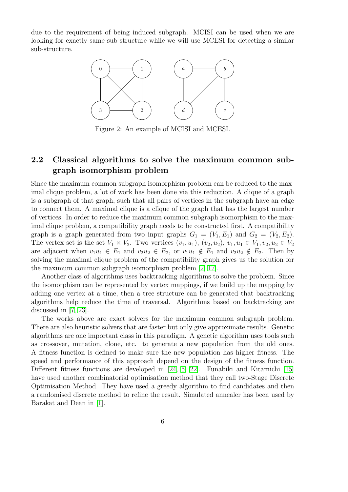<span id="page-6-0"></span>due to the requirement of being induced subgraph. MCISI can be used when we are looking for exactly same sub-structure while we will use MCESI for detecting a similar sub-structure.



Figure 2: An example of MCISI and MCESI.

### <span id="page-6-1"></span>2.2 Classical algorithms to solve the maximum common subgraph isomorphism problem

Since the maximum common subgraph isomorphism problem can be reduced to the maximal clique problem, a lot of work has been done via this reduction. A clique of a graph is a subgraph of that graph, such that all pairs of vertices in the subgraph have an edge to connect them. A maximal clique is a clique of the graph that has the largest number of vertices. In order to reduce the maximum common subgraph isomorphism to the maximal clique problem, a compatibility graph needs to be constructed first. A compatibility graph is a graph generated from two input graphs  $G_1 = (V_1, E_1)$  and  $G_2 = (V_2, E_2)$ . The vertex set is the set  $V_1 \times V_2$ . Two vertices  $(v_1, u_1)$ ,  $(v_2, u_2)$ ,  $v_1, u_1 \in V_1$ ,  $v_2, u_2 \in V_2$ are adjacent when  $v_1u_1 \in E_1$  and  $v_2u_2 \in E_2$ , or  $v_1u_1 \notin E_1$  and  $v_2u_2 \notin E_2$ . Then by solving the maximal clique problem of the compatibility graph gives us the solution for the maximum common subgraph isomorphism problem [\[2,](#page-18-2) [17\]](#page-19-8).

Another class of algorithms uses backtracking algorithms to solve the problem. Since the isomorphism can be represented by vertex mappings, if we build up the mapping by adding one vertex at a time, then a tree structure can be generated that backtracking algorithms help reduce the time of traversal. Algorithms based on backtracking are discussed in [\[7,](#page-19-9) [23\]](#page-20-4).

The works above are exact solvers for the maximum common subgraph problem. There are also heuristic solvers that are faster but only give approximate results. Genetic algorithms are one important class in this paradigm. A genetic algorithm uses tools such as crossover, mutation, clone, etc. to generate a new population from the old ones. A fitness function is defined to make sure the new population has higher fitness. The speed and performance of this approach depend on the design of the fitness function. Different fitness functions are developed in [\[24,](#page-20-5) [5,](#page-18-3) [22\]](#page-20-6). Funabiki and Kitamichi [\[15\]](#page-19-10) have used another combinatorial optimisation method that they call two-Stage Discrete Optimisation Method. They have used a greedy algorithm to find candidates and then a randomised discrete method to refine the result. Simulated annealer has been used by Barakat and Dean in [\[1\]](#page-18-4).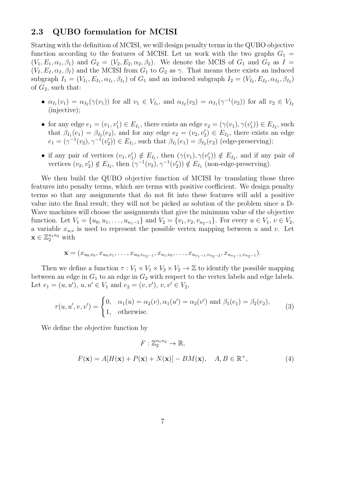#### 2.3 QUBO formulation for MCISI

Starting with the definition of MCISI, we will design penalty terms in the QUBO objective function according to the features of MCISI. Let us work with the two graphs  $G_1 =$  $(V_1, E_1, \alpha_1, \beta_1)$  and  $G_2 = (V_2, E_2, \alpha_2, \beta_2)$ . We denote the MCIS of  $G_1$  and  $G_2$  as  $I =$  $(V_I, E_I, \alpha_I, \beta_I)$  and the MCISI from  $G_1$  to  $G_2$  as  $\gamma$ . That means there exists an induced subgraph  $I_1 = (V_{I_1}, E_{I_1}, \alpha_{I_1}, \beta_{I_1})$  of  $G_1$  and an induced subgraph  $I_2 = (V_{I_2}, E_{I_2}, \alpha_{I_2}, \beta_{I_2})$ of  $G_2$ , such that:

- $\alpha_{I_1}(v_1) = \alpha_{I_2}(\gamma(v_1))$  for all  $v_1 \in V_{I_1}$ , and  $\alpha_{I_2}(v_2) = \alpha_{I_1}(\gamma^{-1}(v_2))$  for all  $v_2 \in V_{I_2}$ (injective);
- for any edge  $e_1 = (v_1, v_1') \in E_{I_1}$ , there exists an edge  $e_2 = (\gamma(v_1), \gamma(v_1')) \in E_{I_2}$ , such that  $\beta_{I_1}(e_1) = \beta_{I_2}(e_2)$ , and for any edge  $e_2 = (v_2, v_2') \in E_{I_2}$ , there exists an edge  $e_1 = (\gamma^{-1}(v_2), \gamma^{-1}(v_2')) \in E_{I_1}$ , such that  $\beta_{I_1}(e_1) = \beta_{I_2}(e_2)$  (edge-preserving);
- if any pair of vertices  $(v_1, v'_1) \notin E_{I_1}$ , then  $(\gamma(v_1), \gamma(v'_1)) \notin E_{I_2}$ , and if any pair of vertices  $(v_2, v'_2) \notin E_{I_2}$ , then  $(\gamma^{-1}(v_2), \gamma^{-1}(v'_2)) \notin E_{I_1}$  (non-edge-preserving).

We then build the QUBO objective function of MCISI by translating those three features into penalty terms, which are terms with positive coefficient. We design penalty terms so that any assignments that do not fit into these features will add a positive value into the final result; they will not be picked as solution of the problem since a D-Wave machines will choose the assignments that give the minimum value of the objective function. Let  $V_1 = \{u_0, u_1, \ldots, u_{n_1-1}\}$  and  $V_2 = \{v_1, v_2, v_{n_2-1}\}$ . For every  $u \in V_1$ ,  $v \in V_2$ , a variable  $x_{u,v}$  is used to represent the possible vertex mapping between u and v. Let  $\mathbf{x} \in \mathbb{Z}_2^{n_1 n_2}$  with

$$
\mathbf{x} = (x_{u_0,v_0}, x_{u_0,v_1}, \ldots, x_{u_0,v_{n_2-1}}, x_{u_1,v_0}, \ldots, x_{u_{n_1-1},v_{n_2-2}}, x_{u_{n_1-1},v_{n_2-1}}).
$$

Then we define a function  $\tau : V_1 \times V_2 \times V_2 \to \mathbb{Z}$  to identify the possible mapping between an edge in  $G_1$  to an edge in  $G_2$  with respect to the vertex labels and edge labels. Let  $e_1 = (u, u')$ ,  $u, u' \in V_1$  and  $e_2 = (v, v')$ ,  $v, v' \in V_2$ ,

$$
\tau(u, u', v, v') = \begin{cases} 0, & \alpha_1(u) = \alpha_2(v), \alpha_1(u') = \alpha_2(v') \text{ and } \beta_1(e_1) = \beta_2(e_2), \\ 1, & \text{otherwise.} \end{cases}
$$
(3)

We define the objective function by

$$
F: \mathbb{Z}_2^{n_1 n_2} \to \mathbb{R},
$$
  

$$
F(\mathbf{x}) = A[H(\mathbf{x}) + P(\mathbf{x}) + N(\mathbf{x})] - BM(\mathbf{x}), \quad A, B \in \mathbb{R}^+,
$$
 (4)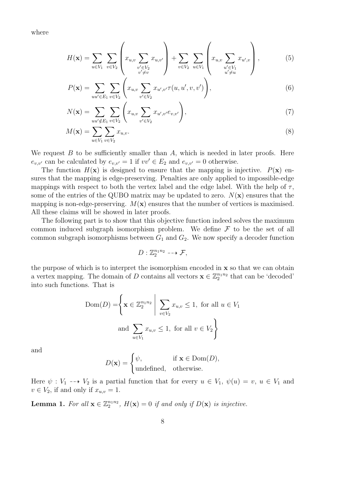where

$$
H(\mathbf{x}) = \sum_{u \in V_1} \sum_{v \in V_2} \left( x_{u,v} \sum_{\substack{v' \in V_2 \\ v' \neq v}} x_{u,v'} \right) + \sum_{v \in V_2} \sum_{u \in V_1} \left( x_{u,v} \sum_{\substack{u' \in V_1 \\ u' \neq u}} x_{u',v} \right), \tag{5}
$$

$$
P(\mathbf{x}) = \sum_{uu' \in E_1} \sum_{v \in V_2} \left( x_{u,v} \sum_{v' \in V_2} x_{u',v'} \tau(u, u', v, v') \right),\tag{6}
$$

$$
N(\mathbf{x}) = \sum_{uu' \notin E_1} \sum_{v \in V_2} \left( x_{u,v} \sum_{v' \in V_2} x_{u',v'} e_{v,v'} \right),\tag{7}
$$

$$
M(\mathbf{x}) = \sum_{u \in V_1} \sum_{v \in V_2} x_{u,v}.\tag{8}
$$

We request  $B$  to be sufficiently smaller than  $A$ , which is needed in later proofs. Here  $e_{v,v'}$  can be calculated by  $e_{v,v'}=1$  if  $vv'\in E_2$  and  $e_{v,v'}=0$  otherwise.

The function  $H(\mathbf{x})$  is designed to ensure that the mapping is injective.  $P(\mathbf{x})$  ensures that the mapping is edge-preserving. Penalties are only applied to impossible-edge mappings with respect to both the vertex label and the edge label. With the help of  $\tau$ , some of the entries of the QUBO matrix may be updated to zero.  $N(\mathbf{x})$  ensures that the mapping is non-edge-preserving.  $M(x)$  ensures that the number of vertices is maximised. All these claims will be showed in later proofs.

The following part is to show that this objective function indeed solves the maximum common induced subgraph isomorphism problem. We define  $\mathcal F$  to be the set of all common subgraph isomorphisms between  $G_1$  and  $G_2$ . We now specify a decoder function

$$
D: \mathbb{Z}_2^{n_1 n_2} \dashrightarrow \mathcal{F},
$$

the purpose of which is to interpret the isomorphism encoded in  $x$  so that we can obtain a vertex mapping. The domain of D contains all vectors  $\mathbf{x} \in \mathbb{Z}_2^{n_1 n_2}$  that can be 'decoded' into such functions. That is

$$
\text{Dom}(D) = \left\{ \mathbf{x} \in \mathbb{Z}_2^{n_1 n_2} \middle| \sum_{v \in V_2} x_{u,v} \le 1, \text{ for all } u \in V_1 \right\}
$$
  
and 
$$
\sum_{u \in V_1} x_{u,v} \le 1, \text{ for all } v \in V_2 \right\}
$$

and

$$
D(\mathbf{x}) = \begin{cases} \psi, & \text{if } \mathbf{x} \in \text{Dom}(D), \\ \text{undefined}, & \text{otherwise.} \end{cases}
$$

Here  $\psi: V_1 \dashrightarrow V_2$  is a partial function that for every  $u \in V_1$ ,  $\psi(u) = v$ ,  $u \in V_1$  and  $v \in V_2$ , if and only if  $x_{u,v} = 1$ .

<span id="page-8-0"></span>**Lemma 1.** For all  $\mathbf{x} \in \mathbb{Z}_2^{n_1 n_2}$ ,  $H(\mathbf{x}) = 0$  if and only if  $D(\mathbf{x})$  is injective.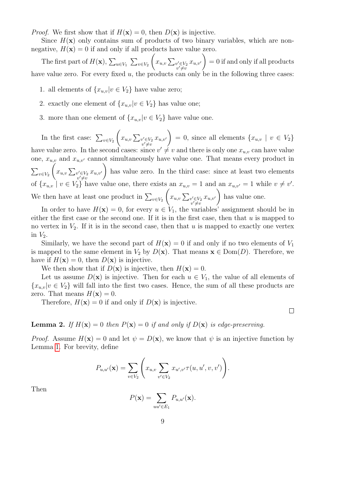*Proof.* We first show that if  $H(\mathbf{x}) = 0$ , then  $D(\mathbf{x})$  is injective.

Since  $H(\mathbf{x})$  only contains sum of products of two binary variables, which are nonnegative,  $H(\mathbf{x}) = 0$  if and only if all products have value zero.

The first part of  $H(\mathbf{x})$ ,  $\sum_{u\in V_1} \sum_{v\in V_2}$  $\left(x_{u,v}\sum_{\substack{v'\in V_2\\v'\neq v}}\right)$  $x_{u,v'}$  $\setminus$  $= 0$  if and only if all products have value zero. For every fixed  $u$ , the products can only be in the following three cases:

- 1. all elements of  $\{x_{u,v}|v \in V_2\}$  have value zero;
- 2. exactly one element of  $\{x_{u,v}|v \in V_2\}$  has value one;
- 3. more than one element of  $\{x_{u,v}|v \in V_2\}$  have value one.

In the first case:  $\sum_{v \in V_2}$  $\left(x_{u,v}\sum_{\substack{v'\in V_2\\v'\neq v}}\right.$  $x_{u,v'}$  $\setminus$  $= 0$ , since all elements  $\{x_{u,v} \mid v \in V_2\}$ have value zero. In the second cases: since  $v' \neq v$  and there is only one  $x_{u,v}$  can have value one,  $x_{u,v}$  and  $x_{u,v'}$  cannot simultaneously have value one. That means every product in  $\sum_{v\in V_2}$  $\left(x_{u,v}\sum_{\substack{v'\in V_2\\v'\neq v}}\right)$  $x_{u,v'}$  $\setminus$ has value zero. In the third case: since at least two elements of  $\{x_{u,v} \mid v \in V_2\}$  have value one, there exists an  $x_{u,v} = 1$  and an  $x_{u,v'} = 1$  while  $v \neq v'$ . We then have at least one product in  $\sum_{v \in V_2}$  $\left(x_{u,v}\sum_{\substack{v'\in V_2\\v'\neq v}}\right)$  $x_{u,v'}$  $\setminus$ has value one.

In order to have  $H(\mathbf{x}) = 0$ , for every  $u \in V_1$ , the variables' assignment should be in either the first case or the second one. If it is in the first case, then that  $u$  is mapped to no vertex in  $V_2$ . If it is in the second case, then that u is mapped to exactly one vertex in  $V_2$ .

Similarly, we have the second part of  $H(\mathbf{x}) = 0$  if and only if no two elements of  $V_1$ is mapped to the same element in  $V_2$  by  $D(\mathbf{x})$ . That means  $\mathbf{x} \in \text{Dom}(D)$ . Therefore, we have if  $H(\mathbf{x}) = 0$ , then  $D(\mathbf{x})$  is injective.

We then show that if  $D(\mathbf{x})$  is injective, then  $H(\mathbf{x}) = 0$ .

Let us assume  $D(\mathbf{x})$  is injective. Then for each  $u \in V_1$ , the value of all elements of  ${x_{u,v}|v \in V_2}$  will fall into the first two cases. Hence, the sum of all these products are zero. That means  $H(\mathbf{x}) = 0$ .

Therefore,  $H(\mathbf{x}) = 0$  if and only if  $D(\mathbf{x})$  is injective.

 $\Box$ 

<span id="page-9-0"></span>**Lemma 2.** If  $H(\mathbf{x}) = 0$  then  $P(\mathbf{x}) = 0$  if and only if  $D(\mathbf{x})$  is edge-preserving.

*Proof.* Assume  $H(\mathbf{x}) = 0$  and let  $\psi = D(\mathbf{x})$ , we know that  $\psi$  is an injective function by Lemma [1.](#page-8-0) For brevity, define

$$
P_{u,u'}(\mathbf{x}) = \sum_{v \in V_2} \left( x_{u,v} \sum_{v' \in V_2} x_{u',v'} \tau(u,u',v,v') \right).
$$

Then

$$
P(\mathbf{x}) = \sum_{uu' \in E_1} P_{u,u'}(\mathbf{x}).
$$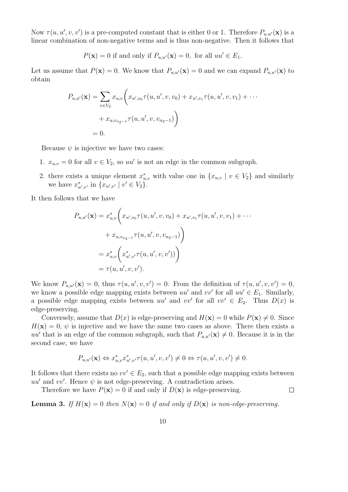Now  $\tau(u, u', v, v')$  is a pre-computed constant that is either 0 or 1. Therefore  $P_{u, u'}(\mathbf{x})$  is a linear combination of non-negative terms and is thus non-negative. Then it follows that

$$
P(\mathbf{x}) = 0
$$
 if and only if  $P_{u,u'}(\mathbf{x}) = 0$ , for all  $uu' \in E_1$ .

Let us assume that  $P(\mathbf{x}) = 0$ . We know that  $P_{u,u'}(\mathbf{x}) = 0$  and we can expand  $P_{u,u'}(\mathbf{x})$  to obtain

$$
P_{u,u'}(\mathbf{x}) = \sum_{v \in V_2} x_{u,v} \bigg( x_{u',v_0} \tau(u, u', v, v_0) + x_{u',v_1} \tau(u, u', v, v_1) + \cdots + x_{u,v_{n_2-1}} \tau(u, u', v, v_{n_2-1}) \bigg)
$$
  
= 0.

Because  $\psi$  is injective we have two cases:

- 1.  $x_{u,v} = 0$  for all  $v \in V_2$ , so uu' is not an edge in the common subgraph.
- 2. there exists a unique element  $x_{u,v}^*$  with value one in  $\{x_{u,v} \mid v \in V_2\}$  and similarly we have  $x_{u',v'}^*$  in  $\{x_{u',v'} | v' \in V_2\}.$

It then follows that we have

$$
P_{u,u'}(\mathbf{x}) = x_{u,v}^* \bigg( x_{u',v_0} \tau(u, u', v, v_0) + x_{u',v_1} \tau(u, u', v, v_1) + \cdots + x_{u,v_{n_2-1}} \tau(u, u', v, v_{n_2-1}) \bigg)
$$
  
=  $x_{u,v}^* \bigg( x_{u',v'}^* \tau(u, u', v, v')) \bigg)$   
=  $\tau(u, u', v, v').$ 

We know  $P_{u,u'}(\mathbf{x}) = 0$ , thus  $\tau(u, u', v, v') = 0$ . From the definition of  $\tau(u, u', v, v') = 0$ , we know a possible edge mapping exists between  $uu'$  and  $vv'$  for all  $uu' \in E_1$ . Similarly, a possible edge mapping exists between  $uu'$  and  $vv'$  for all  $vv' \in E_2$ . Thus  $D(x)$  is edge-preserving.

Conversely, assume that  $D(x)$  is edge-preserving and  $H(\mathbf{x}) = 0$  while  $P(\mathbf{x}) \neq 0$ . Since  $H(\mathbf{x}) = 0$ ,  $\psi$  is injective and we have the same two cases as above. There then exists a uu' that is an edge of the common subgraph, such that  $P_{u,u'}(\mathbf{x}) \neq 0$ . Because it is in the second case, we have

$$
P_{u,u'}(\mathbf{x}) \Leftrightarrow x_{u,v}^* x_{u',v'}^* \tau(u,u',v,v') \neq 0 \Leftrightarrow \tau(u,u',v,v') \neq 0.
$$

It follows that there exists no  $vv' \in E_2$ , such that a possible edge mapping exists between  $uu'$  and vv'. Hence  $\psi$  is not edge-preserving. A contradiction arises.

 $\Box$ 

Therefore we have  $P(\mathbf{x}) = 0$  if and only if  $D(\mathbf{x})$  is edge-preserving.

<span id="page-10-0"></span>**Lemma 3.** If  $H(\mathbf{x}) = 0$  then  $N(\mathbf{x}) = 0$  if and only if  $D(\mathbf{x})$  is non-edge-preserving.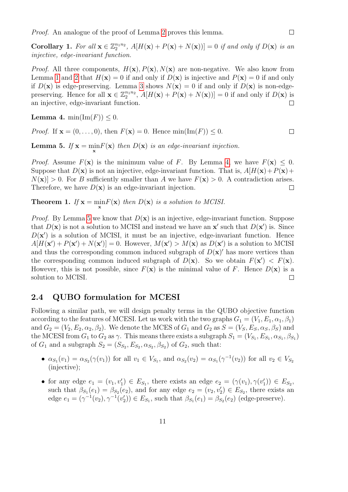Proof. An analogue of the proof of Lemma [2](#page-9-0) proves this lemma.

Corollary 1. For all  $\mathbf{x} \in \mathbb{Z}_2^{n_1 n_2}$ ,  $A[H(\mathbf{x}) + P(\mathbf{x}) + N(\mathbf{x})]] = 0$  if and only if  $D(\mathbf{x})$  is an injective, edge-invariant function.

*Proof.* All three components,  $H(\mathbf{x}), P(\mathbf{x}), N(\mathbf{x})$  are non-negative. We also know from Lemma [1](#page-8-0) and [2](#page-9-0) that  $H(\mathbf{x}) = 0$  if and only if  $D(\mathbf{x})$  is injective and  $P(\mathbf{x}) = 0$  if and only if  $D(\mathbf{x})$  is edge-preserving. Lemma [3](#page-10-0) shows  $N(\mathbf{x}) = 0$  if and only if  $D(\mathbf{x})$  is non-edgepreserving. Hence for all  $\mathbf{x} \in \mathbb{Z}_2^{n_1 n_2}$ ,  $A[H(\mathbf{x}) + P(\mathbf{x}) + N(\mathbf{x}))] = 0$  if and only if  $D(\mathbf{x})$  is an injective, edge-invariant function.  $\Box$ 

<span id="page-11-0"></span>**Lemma 4.** min( $\text{Im}(F)$ )  $\leq 0$ .

*Proof.* If  $\mathbf{x} = (0, \ldots, 0)$ , then  $F(\mathbf{x}) = 0$ . Hence  $\min(\text{Im}(F)) \leq 0$ .

<span id="page-11-1"></span>**Lemma 5.** If  $\mathbf{x} = \min_{\mathbf{x}} F(\mathbf{x})$  then  $D(\mathbf{x})$  is an edge-invariant injection.

*Proof.* Assume  $F(\mathbf{x})$  is the minimum value of F. By Lemma [4,](#page-11-0) we have  $F(\mathbf{x}) \leq 0$ . Suppose that  $D(\mathbf{x})$  is not an injective, edge-invariant function. That is,  $A[H(\mathbf{x})+P(\mathbf{x})+$  $N(\mathbf{x}) > 0$ . For B sufficiently smaller than A we have  $F(\mathbf{x}) > 0$ . A contradiction arises. Therefore, we have  $D(\mathbf{x})$  is an edge-invariant injection.  $\Box$ 

**Theorem 1.** If  $\mathbf{x} = \min_{\mathbf{x}} F(\mathbf{x})$  then  $D(\mathbf{x})$  is a solution to MCISI.

*Proof.* By Lemma [5](#page-11-1) we know that  $D(x)$  is an injective, edge-invariant function. Suppose that  $D(\mathbf{x})$  is not a solution to MCISI and instead we have an  $\mathbf{x}'$  such that  $D(\mathbf{x}')$  is. Since  $D(\mathbf{x}')$  is a solution of MCISI, it must be an injective, edge-invariant function. Hence  $A[H(\mathbf{x}') + P(\mathbf{x}') + N(\mathbf{x}')] = 0$ . However,  $M(\mathbf{x}') > M(\mathbf{x})$  as  $D(\mathbf{x}')$  is a solution to MCISI and thus the corresponding common induced subgraph of  $D(x)$  has more vertices than the corresponding common induced subgraph of  $D(\mathbf{x})$ . So we obtain  $F(\mathbf{x}') < F(\mathbf{x})$ . However, this is not possible, since  $F(\mathbf{x})$  is the minimal value of F. Hence  $D(\mathbf{x})$  is a solution to MCISI.  $\Box$ 

#### 2.4 QUBO formulation for MCESI

Following a similar path, we will design penalty terms in the QUBO objective function according to the features of MCESI. Let us work with the two graphs  $G_1 = (V_1, E_1, \alpha_1, \beta_1)$ and  $G_2 = (V_2, E_2, \alpha_2, \beta_2)$ . We denote the MCES of  $G_1$  and  $G_2$  as  $S = (V_S, E_S, \alpha_S, \beta_S)$  and the MCESI from  $G_1$  to  $G_2$  as  $\gamma$ . This means there exists a subgraph  $S_1 = (V_{S_1}, E_{S_1}, \alpha_{S_1}, \beta_{S_1})$ of  $G_1$  and a subgraph  $S_2 = (S_{S_2}, E_{S_2}, \alpha_{S_2}, \beta_{S_2})$  of  $G_2$ , such that:

- $\alpha_{S_1}(v_1) = \alpha_{S_2}(\gamma(v_1))$  for all  $v_1 \in V_{S_1}$ , and  $\alpha_{S_2}(v_2) = \alpha_{S_1}(\gamma^{-1}(v_2))$  for all  $v_2 \in V_{S_2}$ (injective);
- for any edge  $e_1 = (v_1, v_1') \in E_{S_1}$ , there exists an edge  $e_2 = (\gamma(v_1), \gamma(v_1')) \in E_{S_2}$ , such that  $\beta_{S_1}(e_1) = \beta_{S_2}(e_2)$ , and for any edge  $e_2 = (v_2, v_2') \in E_{S_2}$ , there exists an edge  $e_1 = (\gamma^{-1}(v_2), \gamma^{-1}(v'_2)) \in E_{S_1}$ , such that  $\beta_{S_1}(e_1) = \beta_{S_2}(e_2)$  (edge-preserve).

 $\Box$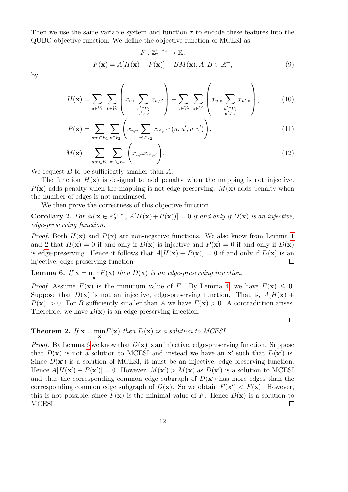Then we use the same variable system and function  $\tau$  to encode these features into the QUBO objective function. We define the objective function of MCESI as

$$
F: \mathbb{Z}_2^{n_1 n_2} \to \mathbb{R},
$$
  

$$
F(\mathbf{x}) = A[H(\mathbf{x}) + P(\mathbf{x})] - BM(\mathbf{x}), A, B \in \mathbb{R}^+,
$$
 (9)

by

$$
H(\mathbf{x}) = \sum_{u \in V_1} \sum_{v \in V_2} \left( x_{u,v} \sum_{\substack{v' \in V_2 \\ v' \neq v}} x_{u,v'} \right) + \sum_{v \in V_2} \sum_{u \in V_1} \left( x_{u,v} \sum_{\substack{u' \in V_1 \\ u' \neq u}} x_{u',v} \right), \tag{10}
$$

$$
P(\mathbf{x}) = \sum_{uu' \in E_1} \sum_{v \in V_2} \left( x_{u,v} \sum_{v' \in V_2} x_{u',v'} \tau(u, u', v, v') \right),\tag{11}
$$

$$
M(\mathbf{x}) = \sum_{uu' \in E_1} \sum_{vv' \in E_2} \left( x_{u,v} x_{u',v'} \right). \tag{12}
$$

We request  $B$  to be sufficiently smaller than  $A$ .

The function  $H(\mathbf{x})$  is designed to add penalty when the mapping is not injective.  $P(\mathbf{x})$  adds penalty when the mapping is not edge-preserving.  $M(\mathbf{x})$  adds penalty when the number of edges is not maximised.

We then prove the correctness of this objective function.

Corollary 2. For all  $\mathbf{x} \in \mathbb{Z}_2^{n_1 n_2}$ ,  $A[H(\mathbf{x}) + P(\mathbf{x})]] = 0$  if and only if  $D(\mathbf{x})$  is an injective, edge-preserving function.

*Proof.* Both  $H(\mathbf{x})$  and  $P(\mathbf{x})$  are non-negative functions. We also know from Lemma [1](#page-8-0) and [2](#page-9-0) that  $H(\mathbf{x}) = 0$  if and only if  $D(\mathbf{x})$  is injective and  $P(\mathbf{x}) = 0$  if and only if  $D(\mathbf{x})$ is edge-preserving. Hence it follows that  $A[H(\mathbf{x}) + P(\mathbf{x})] = 0$  if and only if  $D(\mathbf{x})$  is an injective, edge-preserving function.  $\Box$ 

<span id="page-12-0"></span>**Lemma 6.** If  $\mathbf{x} = \min_{\mathbf{x}} F(\mathbf{x})$  then  $D(\mathbf{x})$  is an edge-preserving injection.

*Proof.* Assume  $F(\mathbf{x})$  is the minimum value of F. By Lemma [4,](#page-11-0) we have  $F(\mathbf{x}) \leq 0$ . Suppose that  $D(\mathbf{x})$  is not an injective, edge-preserving function. That is,  $A[H(\mathbf{x}) +$  $P(\mathbf{x}) > 0$ . For B sufficiently smaller than A we have  $F(\mathbf{x}) > 0$ . A contradiction arises. Therefore, we have  $D(\mathbf{x})$  is an edge-preserving injection.

 $\Box$ 

**Theorem 2.** If  $\mathbf{x} = \min_{\mathbf{x}} F(\mathbf{x})$  then  $D(\mathbf{x})$  is a solution to MCESI.

*Proof.* By Lemma [6](#page-12-0) we know that  $D(\mathbf{x})$  is an injective, edge-preserving function. Suppose that  $D(\mathbf{x})$  is not a solution to MCESI and instead we have an  $\mathbf{x}'$  such that  $D(\mathbf{x}')$  is. Since  $D(\mathbf{x}')$  is a solution of MCESI, it must be an injective, edge-preserving function. Hence  $A[H(\mathbf{x}') + P(\mathbf{x}')] = 0$ . However,  $M(\mathbf{x}') > M(\mathbf{x})$  as  $D(\mathbf{x}')$  is a solution to MCESI and thus the corresponding common edge subgraph of  $D(\mathbf{x}')$  has more edges than the corresponding common edge subgraph of  $D(\mathbf{x})$ . So we obtain  $F(\mathbf{x}') < F(\mathbf{x})$ . However, this is not possible, since  $F(\mathbf{x})$  is the minimal value of F. Hence  $D(\mathbf{x})$  is a solution to MCESI.  $\Box$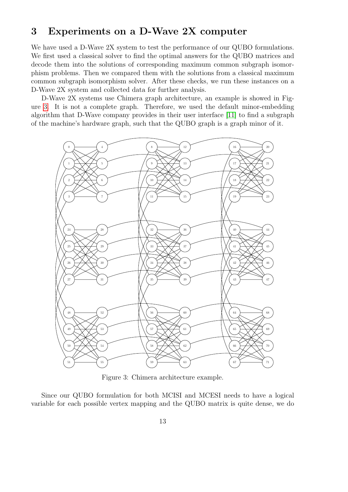## <span id="page-13-1"></span>3 Experiments on a D-Wave 2X computer

We have used a D-Wave 2X system to test the performance of our QUBO formulations. We first used a classical solver to find the optimal answers for the QUBO matrices and decode them into the solutions of corresponding maximum common subgraph isomorphism problems. Then we compared them with the solutions from a classical maximum common subgraph isomorphism solver. After these checks, we run these instances on a D-Wave 2X system and collected data for further analysis.

D-Wave 2X systems use Chimera graph architecture, an example is showed in Figure [3.](#page-13-0) It is not a complete graph. Therefore, we used the default minor-embedding algorithm that D-Wave company provides in their user interface [\[11\]](#page-19-11) to find a subgraph of the machine's hardware graph, such that the QUBO graph is a graph minor of it.

<span id="page-13-0"></span>

Figure 3: Chimera architecture example.

Since our QUBO formulation for both MCISI and MCESI needs to have a logical variable for each possible vertex mapping and the QUBO matrix is quite dense, we do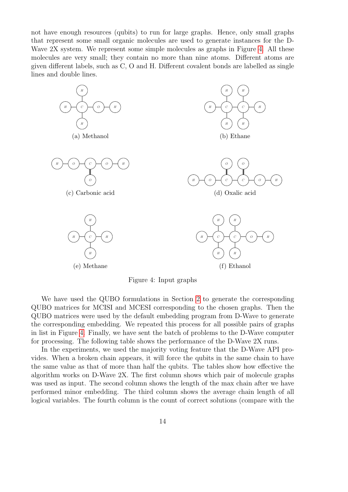not have enough resources (qubits) to run for large graphs. Hence, only small graphs that represent some small organic molecules are used to generate instances for the D-Wave 2X system. We represent some simple molecules as graphs in Figure [4.](#page-14-0) All these molecules are very small; they contain no more than nine atoms. Different atoms are given different labels, such as C, O and H. Different covalent bonds are labelled as single lines and double lines.

<span id="page-14-0"></span>

Figure 4: Input graphs

We have used the QUBO formulations in Section [2](#page-2-0) to generate the corresponding QUBO matrices for MCISI and MCESI corresponding to the chosen graphs. Then the QUBO matrices were used by the default embedding program from D-Wave to generate the corresponding embedding. We repeated this process for all possible pairs of graphs in list in Figure [4.](#page-14-0) Finally, we have sent the batch of problems to the D-Wave computer for processing. The following table shows the performance of the D-Wave 2X runs.

In the experiments, we used the majority voting feature that the D-Wave API provides. When a broken chain appears, it will force the qubits in the same chain to have the same value as that of more than half the qubits. The tables show how effective the algorithm works on D-Wave 2X. The first column shows which pair of molecule graphs was used as input. The second column shows the length of the max chain after we have performed minor embedding. The third column shows the average chain length of all logical variables. The fourth column is the count of correct solutions (compare with the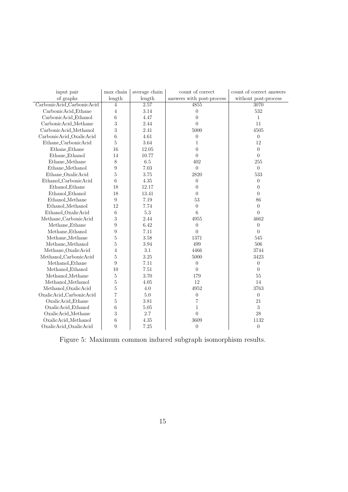<span id="page-15-0"></span>

| input pair                | $\max$ chain     | average chain | count of correct          | count of correct answers |
|---------------------------|------------------|---------------|---------------------------|--------------------------|
| of graphs                 | length           | length        | answers with post-process | without post-process     |
| CarbonicAcid_CarbonicAcid | $\overline{4}$   | 2.57          | 4855                      | 3070                     |
| CarbonicAcid_Ethane       | $\overline{4}$   | $3.14\,$      | $\overline{0}$            | 532                      |
| CarbonicAcid_Ethanol      | $\,6\,$          | 4.47          | $\overline{0}$            | $\mathbf{1}$             |
| CarbonicAcid_Methane      | 3                | 2.44          | $\overline{0}$            | 11                       |
| CarbonicAcid_Methanol     | 3                | 2.41          | 5000                      | 4505                     |
| CarbonicAcid_OxalicAcid   | $\sqrt{6}$       | $4.61\,$      | $\boldsymbol{0}$          | $\boldsymbol{0}$         |
| Ethane_CarbonicAcid       | $\bf 5$          | 3.64          | $\mathbf{1}$              | 12                       |
| Ethane_Ethane             | 16               | 12.05         | $\overline{0}$            | $\overline{0}$           |
| Ethane_Ethanol            | 14               | 10.77         | $\Omega$                  | $\Omega$                 |
| Ethane_Methane            | 8                | $6.5\,$       | 402                       | 255                      |
| Ethane_Methanol           | 9                | $7.03\,$      | $\theta$                  | $\overline{0}$           |
| Ethane_OxalicAcid         | $\bf 5$          | 3.75          | 2820                      | 533                      |
| Ethanol_CarbonicAcid      | $\,6\,$          | 4.35          | $\overline{0}$            | $\theta$                 |
| Ethanol_Ethane            | 18               | 12.17         | $\Omega$                  | $\theta$                 |
| Ethanol_Ethanol           | 18               | 13.41         | $\Omega$                  | $\theta$                 |
| Ethanol_Methane           | 9                | 7.19          | 53                        | 86                       |
| Ethanol_Methanol          | 12               | 7.74          | $\theta$                  | $\theta$                 |
| Ethanol_OxalicAcid        | $\,6\,$          | $5.3\,$       | 6                         | $\theta$                 |
| Methane_CarbonicAcid      | 3                | 2.44          | 4955                      | 4662                     |
| Methane_Ethane            | 9                | 6.42          | $\theta$                  | $\overline{0}$           |
| Methane_Ethanol           | 9                | 7.11          | $\theta$                  | $\theta$                 |
| Methane_Methane           | $\overline{5}$   | 3.58          | 1371                      | 545                      |
| Methane_Methanol          | $\overline{5}$   | 3.94          | 499                       | 506                      |
| Methane_OxalicAcid        | $\overline{4}$   | 3.1           | 4466                      | 3744                     |
| Methanol_CarbonicAcid     | $\rm 5$          | $3.25\,$      | 5000                      | 3423                     |
| Methanol_Ethane           | 9                | 7.11          | $\overline{0}$            | $\overline{0}$           |
| Methanol_Ethanol          | 10               | $7.51\,$      | $\theta$                  | $\theta$                 |
| Methanol_Methane          | $\rm 5$          | $3.70\,$      | 179                       | 55                       |
| Methanol_Methanol         | $\overline{5}$   | $4.05\,$      | 12                        | $14\,$                   |
| Methanol_OxalicAcid       | $\overline{5}$   | $4.0\,$       | 4952                      | 3763                     |
| OxalicAcid_CarbonicAcid   | $\overline{7}$   | $5.0\,$       | $\boldsymbol{0}$          | $\boldsymbol{0}$         |
| OxalicAcid_Ethane         | $\overline{5}$   | 3.81          | 7                         | 21                       |
| OxalicAcid_Ethanol        | $\,6$            | $5.05\,$      | $\mathbf{1}$              | $\,3$                    |
| OxalicAcid_Methane        | 3                | 2.7           | $\Omega$                  | $28\,$                   |
| OxalicAcid_Methanol       | $\boldsymbol{6}$ | 4.35          | 3609                      | $1132\,$                 |
| OxalicAcid_OxalicAcid     | 9                | 7.25          | $\theta$                  | $\overline{0}$           |

Figure 5: Maximum common induced subgraph isomorphism results.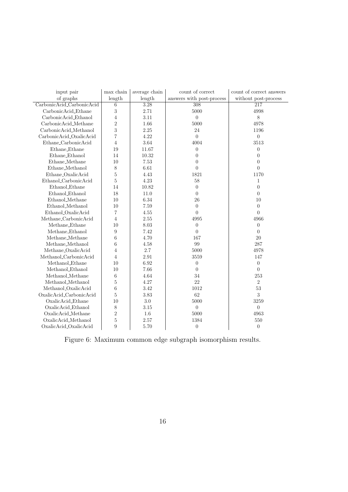<span id="page-16-0"></span>

| input pair                | $\max$ chain     | average chain | count of correct          | count of correct answers |
|---------------------------|------------------|---------------|---------------------------|--------------------------|
| of graphs                 | length           | length        | answers with post-process | without post-process     |
| CarbonicAcid_CarbonicAcid | $\,6\,$          | 3.28          | 308                       | 217                      |
| CarbonicAcid_Ethane       | 3                | 2.71          | 5000                      | 4998                     |
| CarbonicAcid_Ethanol      | $\overline{4}$   | 3.11          | $\overline{0}$            | $8\,$                    |
| CarbonicAcid_Methane      | $\sqrt{2}$       | 1.66          | 5000                      | 4978                     |
| CarbonicAcid_Methanol     | 3                | 2.25          | 24                        | 1196                     |
| CarbonicAcid_OxalicAcid   | $\overline{7}$   | 4.22          | $\theta$                  | $\overline{0}$           |
| Ethane_CarbonicAcid       | $\overline{4}$   | 3.64          | 4004                      | 3513                     |
| Ethane_Ethane             | 19               | 11.67         | $\overline{0}$            | $\theta$                 |
| Ethane_Ethanol            | 14               | $10.32\,$     | $\overline{0}$            | $\theta$                 |
| Ethane_Methane            | 10               | 7.53          | $\Omega$                  | $\theta$                 |
| $Ethane_Methanol$         | $\,$ $\,$        | 6.61          | $\overline{0}$            | $\overline{0}$           |
| Ethane_OxalicAcid         | $\bf 5$          | 4.43          | 1821                      | 1170                     |
| Ethanol_CarbonicAcid      | $\rm 5$          | 4.23          | $58\,$                    | $\mathbf{1}$             |
| Ethanol_Ethane            | 14               | 10.82         | $\Omega$                  | $\theta$                 |
| Ethanol_Ethanol           | 18               | 11.0          | $\theta$                  | $\theta$                 |
| Ethanol_Methane           | 10               | 6.34          | 26                        | 10                       |
| Ethanol_Methanol          | 10               | 7.59          | $\theta$                  | $\theta$                 |
| Ethanol_OxalicAcid        | 7                | 4.55          | $\overline{0}$            | $\theta$                 |
| Methane_CarbonicAcid      | $\overline{4}$   | $2.55\,$      | 4995                      | 4966                     |
| Methane_Ethane            | 10               | $8.03\,$      | $\boldsymbol{0}$          | $\overline{0}$           |
| Methane_Ethanol           | $\boldsymbol{9}$ | 7.42          | $\Omega$                  | $\Omega$                 |
| Methane_Methane           | $\,6$            | 4.70          | 167                       | $20\,$                   |
| Methane_Methanol          | 6                | 4.58          | 99                        | 287                      |
| Methane_OxalicAcid        | $\overline{4}$   | $2.7\,$       | 5000                      | 4978                     |
| Methanol_CarbonicAcid     | $\overline{4}$   | $2.91\,$      | 3559                      | 147                      |
| Methanol_Ethane           | 10               | 6.92          | $\theta$                  | $\boldsymbol{0}$         |
| Methanol_Ethanol          | 10               | 7.66          | $\theta$                  | $\overline{0}$           |
| Methanol_Methane          | $\,6\,$          | 4.64          | 34                        | 253                      |
| Methanol_Methanol         | $\bf 5$          | 4.27          | $22\,$                    | $\overline{2}$           |
| Methanol_OxalicAcid       | $\,6$            | 3.42          | 1012                      | $53\,$                   |
| OxalicAcid_CarbonicAcid   | $\bf 5$          | 3.83          | 62                        | 3                        |
| OxalicAcid_Ethane         | 10               | $3.0\,$       | 5000                      | 3259                     |
| OxalicAcid_Ethanol        | $8\,$            | $3.15\,$      | $\boldsymbol{0}$          | $\theta$                 |
| OxalicAcid_Methane        | $\sqrt{2}$       | 1.6           | 5000                      | 4963                     |
| OxalicAcid_Methanol       | $\overline{5}$   | $2.57\,$      | 1384                      | 550                      |
| OxalicAcid_OxalicAcid     | 9                | 5.70          | $\overline{0}$            | $\overline{0}$           |

Figure 6: Maximum common edge subgraph isomorphism results.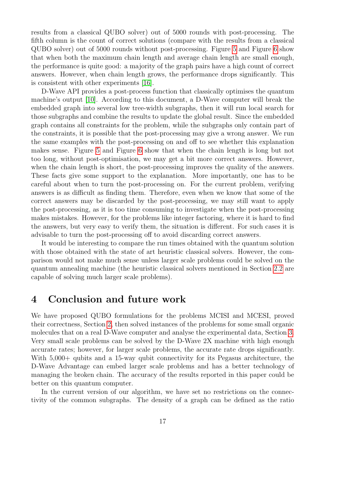results from a classical QUBO solver) out of 5000 rounds with post-processing. The fifth column is the count of correct solutions (compare with the results from a classical QUBO solver) out of 5000 rounds without post-processing. Figure [5](#page-15-0) and Figure [6](#page-16-0) show that when both the maximum chain length and average chain length are small enough, the performance is quite good: a majority of the graph pairs have a high count of correct answers. However, when chain length grows, the performance drops significantly. This is consistent with other experiments [\[16\]](#page-19-12).

D-Wave API provides a post-process function that classically optimises the quantum machine's output [\[10\]](#page-19-13). According to this document, a D-Wave computer will break the embedded graph into several low tree-width subgraphs, then it will run local search for those subgraphs and combine the results to update the global result. Since the embedded graph contains all constraints for the problem, while the subgraphs only contain part of the constraints, it is possible that the post-processing may give a wrong answer. We run the same examples with the post-processing on and off to see whether this explanation makes sense. Figure [5](#page-15-0) and Figure [6](#page-16-0) show that when the chain length is long but not too long, without post-optimisation, we may get a bit more correct answers. However, when the chain length is short, the post-processing improves the quality of the answers. These facts give some support to the explanation. More importantly, one has to be careful about when to turn the post-processing on. For the current problem, verifying answers is as difficult as finding them. Therefore, even when we know that some of the correct answers may be discarded by the post-processing, we may still want to apply the post-processing, as it is too time consuming to investigate when the post-processing makes mistakes. However, for the problems like integer factoring, where it is hard to find the answers, but very easy to verify them, the situation is different. For such cases it is advisable to turn the post-processing off to avoid discarding correct answers.

It would be interesting to compare the run times obtained with the quantum solution with those obtained with the state of art heuristic classical solvers. However, the comparison would not make much sense unless larger scale problems could be solved on the quantum annealing machine (the heuristic classical solvers mentioned in Section [2.2](#page-6-1) are capable of solving much larger scale problems).

### 4 Conclusion and future work

We have proposed QUBO formulations for the problems MCISI and MCESI, proved their correctness, Section [2,](#page-2-0) then solved instances of the problems for some small organic molecules that on a real D-Wave computer and analyse the experimental data, Section [3.](#page-13-1) Very small scale problems can be solved by the D-Wave 2X machine with high enough accurate rates; however, for larger scale problems, the accurate rate drops significantly. With  $5,000+$  qubits and a 15-way qubit connectivity for its Pegasus architecture, the D-Wave Advantage can embed larger scale problems and has a better technology of managing the broken chain. The accuracy of the results reported in this paper could be better on this quantum computer.

In the current version of our algorithm, we have set no restrictions on the connectivity of the common subgraphs. The density of a graph can be defined as the ratio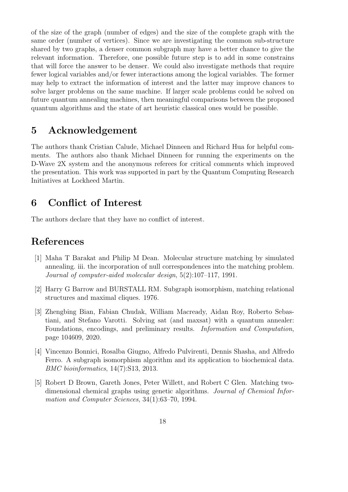of the size of the graph (number of edges) and the size of the complete graph with the same order (number of vertices). Since we are investigating the common sub-structure shared by two graphs, a denser common subgraph may have a better chance to give the relevant information. Therefore, one possible future step is to add in some constrains that will force the answer to be denser. We could also investigate methods that require fewer logical variables and/or fewer interactions among the logical variables. The former may help to extract the information of interest and the latter may improve chances to solve larger problems on the same machine. If larger scale problems could be solved on future quantum annealing machines, then meaningful comparisons between the proposed quantum algorithms and the state of art heuristic classical ones would be possible.

## 5 Acknowledgement

The authors thank Cristian Calude, Michael Dinneen and Richard Hua for helpful comments. The authors also thank Michael Dinneen for running the experiments on the D-Wave 2X system and the anonymous referees for critical comments which improved the presentation. This work was supported in part by the Quantum Computing Research Initiatives at Lockheed Martin.

## 6 Conflict of Interest

The authors declare that they have no conflict of interest.

## References

- <span id="page-18-4"></span>[1] Maha T Barakat and Philip M Dean. Molecular structure matching by simulated annealing. iii. the incorporation of null correspondences into the matching problem. Journal of computer-aided molecular design, 5(2):107–117, 1991.
- <span id="page-18-2"></span>[2] Harry G Barrow and BURSTALL RM. Subgraph isomorphism, matching relational structures and maximal cliques. 1976.
- <span id="page-18-0"></span>[3] Zhengbing Bian, Fabian Chudak, William Macready, Aidan Roy, Roberto Sebastiani, and Stefano Varotti. Solving sat (and maxsat) with a quantum annealer: Foundations, encodings, and preliminary results. Information and Computation, page 104609, 2020.
- <span id="page-18-1"></span>[4] Vincenzo Bonnici, Rosalba Giugno, Alfredo Pulvirenti, Dennis Shasha, and Alfredo Ferro. A subgraph isomorphism algorithm and its application to biochemical data. BMC bioinformatics, 14(7):S13, 2013.
- <span id="page-18-3"></span>[5] Robert D Brown, Gareth Jones, Peter Willett, and Robert C Glen. Matching twodimensional chemical graphs using genetic algorithms. Journal of Chemical Information and Computer Sciences, 34(1):63–70, 1994.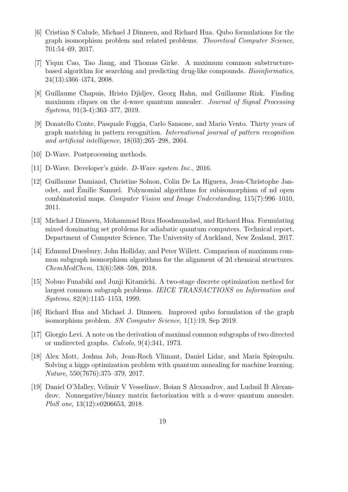- <span id="page-19-7"></span>[6] Cristian S Calude, Michael J Dinneen, and Richard Hua. Qubo formulations for the graph isomorphism problem and related problems. Theoretical Computer Science, 701:54–69, 2017.
- <span id="page-19-9"></span>[7] Yiqun Cao, Tao Jiang, and Thomas Girke. A maximum common substructurebased algorithm for searching and predicting drug-like compounds. Bioinformatics, 24(13):i366–i374, 2008.
- <span id="page-19-2"></span>[8] Guillaume Chapuis, Hristo Djidjev, Georg Hahn, and Guillaume Rizk. Finding maximum cliques on the d-wave quantum annealer. Journal of Signal Processing Systems, 91(3-4):363–377, 2019.
- <span id="page-19-5"></span>[9] Donatello Conte, Pasquale Foggia, Carlo Sansone, and Mario Vento. Thirty years of graph matching in pattern recognition. International journal of pattern recognition and artificial intelligence, 18(03):265–298, 2004.
- <span id="page-19-13"></span>[10] D-Wave. Postprocessing methods.
- <span id="page-19-11"></span>[11] D-Wave. Developer's guide. D-Wave system Inc., 2016.
- <span id="page-19-6"></span>[12] Guillaume Damiand, Christine Solnon, Colin De La Higuera, Jean-Christophe Janodet, and Emilie Samuel. Polynomial algorithms for subisomorphism of nd open ´ combinatorial maps. Computer Vision and Image Understanding, 115(7):996–1010, 2011.
- <span id="page-19-3"></span>[13] Michael J Dinneen, Mohammad Reza Hooshmandasl, and Richard Hua. Formulating mixed dominating set problems for adiabatic quantum computers. Technical report, Department of Computer Science, The University of Auckland, New Zealand, 2017.
- <span id="page-19-4"></span>[14] Edmund Duesbury, John Holliday, and Peter Willett. Comparison of maximum common subgraph isomorphism algorithms for the alignment of 2d chemical structures. ChemMedChem, 13(6):588–598, 2018.
- <span id="page-19-10"></span>[15] Nobuo Funabiki and Junji Kitamichi. A two-stage discrete optimization method for largest common subgraph problems. IEICE TRANSACTIONS on Information and Systems, 82(8):1145–1153, 1999.
- <span id="page-19-12"></span>[16] Richard Hua and Michael J. Dinneen. Improved qubo formulation of the graph isomorphism problem. SN Computer Science, 1(1):19, Sep 2019.
- <span id="page-19-8"></span>[17] Giorgio Levi. A note on the derivation of maximal common subgraphs of two directed or undirected graphs. Calcolo, 9(4):341, 1973.
- <span id="page-19-0"></span>[18] Alex Mott, Joshua Job, Jean-Roch Vlimant, Daniel Lidar, and Maria Spiropulu. Solving a higgs optimization problem with quantum annealing for machine learning. Nature, 550(7676):375–379, 2017.
- <span id="page-19-1"></span>[19] Daniel O'Malley, Velimir V Vesselinov, Boian S Alexandrov, and Ludmil B Alexandrov. Nonnegative/binary matrix factorization with a d-wave quantum annealer. PloS one, 13(12):e0206653, 2018.